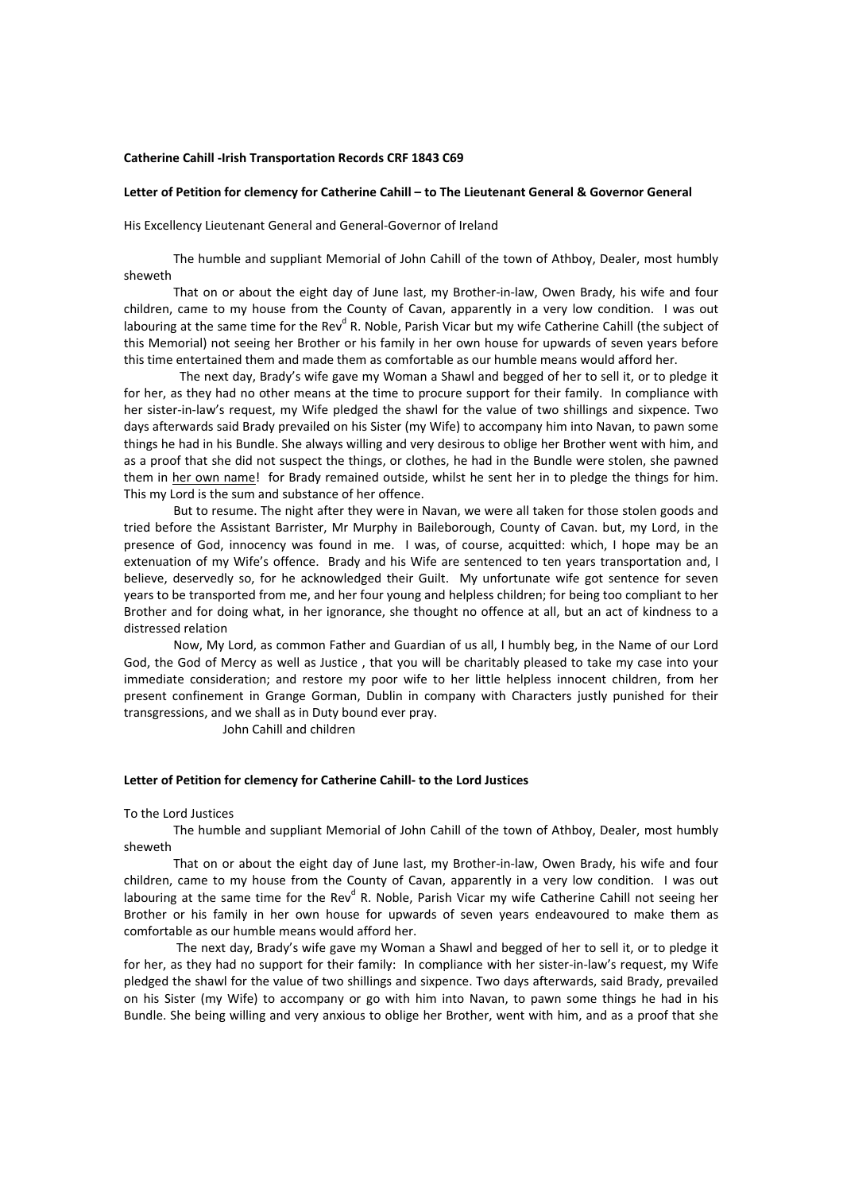### **Catherine Cahill ‐Irish Transportation Records CRF 1843 C69**

## **Letter of Petition for clemency for Catherine Cahill – to The Lieutenant General & Governor General**

His Excellency Lieutenant General and General‐Governor of Ireland

The humble and suppliant Memorial of John Cahill of the town of Athboy, Dealer, most humbly sheweth

That on or about the eight day of June last, my Brother‐in‐law, Owen Brady, his wife and four children, came to my house from the County of Cavan, apparently in a very low condition. I was out labouring at the same time for the Rev<sup>d</sup> R. Noble, Parish Vicar but my wife Catherine Cahill (the subject of this Memorial) not seeing her Brother or his family in her own house for upwards of seven years before this time entertained them and made them as comfortable as our humble means would afford her.

 The next day, Brady's wife gave my Woman a Shawl and begged of her to sell it, or to pledge it for her, as they had no other means at the time to procure support for their family. In compliance with her sister-in-law's request, my Wife pledged the shawl for the value of two shillings and sixpence. Two days afterwards said Brady prevailed on his Sister (my Wife) to accompany him into Navan, to pawn some things he had in his Bundle. She always willing and very desirous to oblige her Brother went with him, and as a proof that she did not suspect the things, or clothes, he had in the Bundle were stolen, she pawned them in her own name! for Brady remained outside, whilst he sent her in to pledge the things for him. This my Lord is the sum and substance of her offence.

But to resume. The night after they were in Navan, we were all taken for those stolen goods and tried before the Assistant Barrister, Mr Murphy in Baileborough, County of Cavan. but, my Lord, in the presence of God, innocency was found in me. I was, of course, acquitted: which, I hope may be an extenuation of my Wife's offence. Brady and his Wife are sentenced to ten years transportation and, I believe, deservedly so, for he acknowledged their Guilt. My unfortunate wife got sentence for seven years to be transported from me, and her four young and helpless children; for being too compliant to her Brother and for doing what, in her ignorance, she thought no offence at all, but an act of kindness to a distressed relation

Now, My Lord, as common Father and Guardian of us all, I humbly beg, in the Name of our Lord God, the God of Mercy as well as Justice , that you will be charitably pleased to take my case into your immediate consideration; and restore my poor wife to her little helpless innocent children, from her present confinement in Grange Gorman, Dublin in company with Characters justly punished for their transgressions, and we shall as in Duty bound ever pray.

John Cahill and children

### **Letter of Petition for clemency for Catherine Cahill‐ to the Lord Justices**

#### To the Lord Justices

The humble and suppliant Memorial of John Cahill of the town of Athboy, Dealer, most humbly sheweth

That on or about the eight day of June last, my Brother‐in‐law, Owen Brady, his wife and four children, came to my house from the County of Cavan, apparently in a very low condition. I was out labouring at the same time for the Rev<sup>d</sup> R. Noble, Parish Vicar my wife Catherine Cahill not seeing her Brother or his family in her own house for upwards of seven years endeavoured to make them as comfortable as our humble means would afford her.

The next day, Brady's wife gave my Woman a Shawl and begged of her to sell it, or to pledge it for her, as they had no support for their family: In compliance with her sister-in-law's request, my Wife pledged the shawl for the value of two shillings and sixpence. Two days afterwards, said Brady, prevailed on his Sister (my Wife) to accompany or go with him into Navan, to pawn some things he had in his Bundle. She being willing and very anxious to oblige her Brother, went with him, and as a proof that she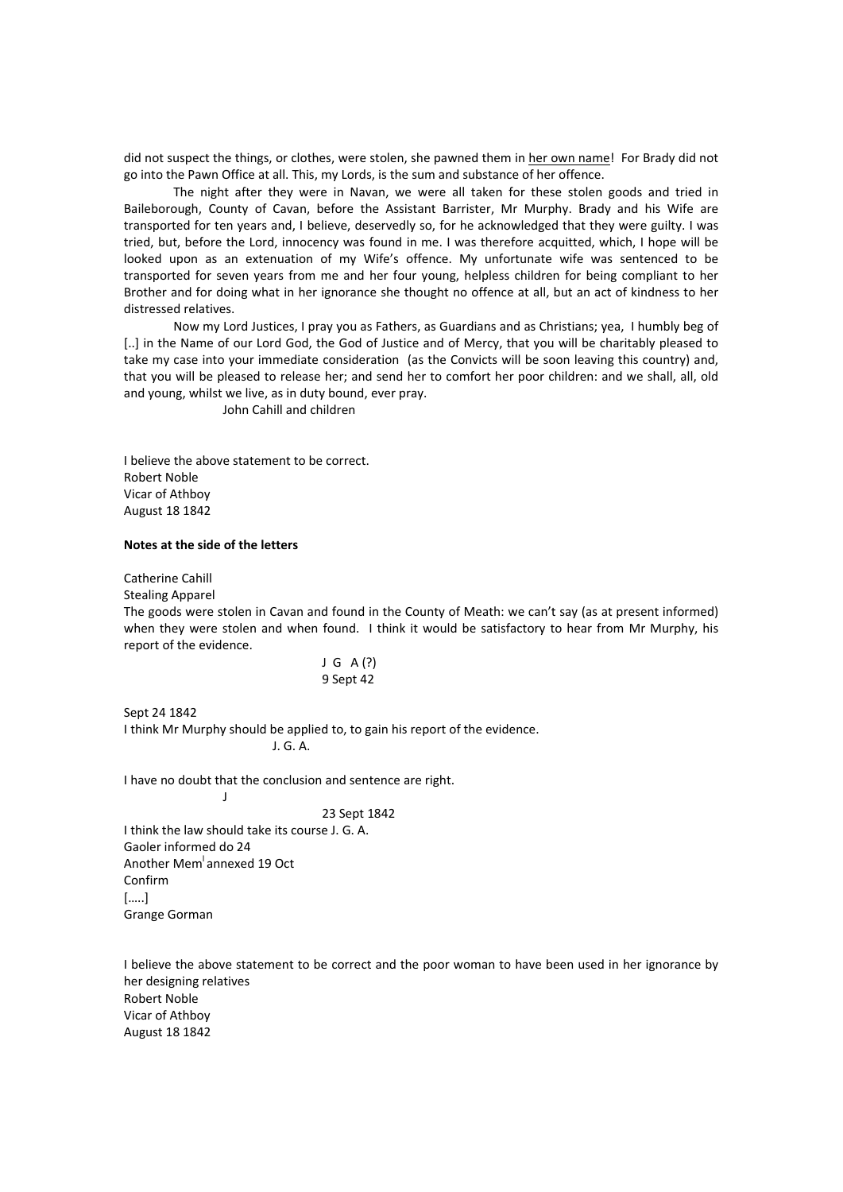did not suspect the things, or clothes, were stolen, she pawned them in her own name! For Brady did not go into the Pawn Office at all. This, my Lords, is the sum and substance of her offence.

The night after they were in Navan, we were all taken for these stolen goods and tried in Baileborough, County of Cavan, before the Assistant Barrister, Mr Murphy. Brady and his Wife are transported for ten years and, I believe, deservedly so, for he acknowledged that they were guilty. I was tried, but, before the Lord, innocency was found in me. I was therefore acquitted, which, I hope will be looked upon as an extenuation of my Wife's offence. My unfortunate wife was sentenced to be transported for seven years from me and her four young, helpless children for being compliant to her Brother and for doing what in her ignorance she thought no offence at all, but an act of kindness to her distressed relatives.

Now my Lord Justices, I pray you as Fathers, as Guardians and as Christians; yea, I humbly beg of [..] in the Name of our Lord God, the God of Justice and of Mercy, that you will be charitably pleased to take my case into your immediate consideration (as the Convicts will be soon leaving this country) and, that you will be pleased to release her; and send her to comfort her poor children: and we shall, all, old and young, whilst we live, as in duty bound, ever pray.

John Cahill and children

I believe the above statement to be correct. Robert Noble Vicar of Athboy August 18 1842

## **Notes at the side of the letters**

Catherine Cahill

Stealing Apparel

**June 1999** 

The goods were stolen in Cavan and found in the County of Meath: we can't say (as at present informed) when they were stolen and when found. I think it would be satisfactory to hear from Mr Murphy, his report of the evidence.

# $J$  G  $A(?)$ 9 Sept 42

Sept 24 1842 I think Mr Murphy should be applied to, to gain his report of the evidence.

J. G. A.

I have no doubt that the conclusion and sentence are right.

#### 23 Sept 1842

I think the law should take its course J. G. A. Gaoler informed do 24 Another Mem<sup>l</sup>annexed 19 Oct Confirm […..] Grange Gorman

I believe the above statement to be correct and the poor woman to have been used in her ignorance by her designing relatives Robert Noble Vicar of Athboy August 18 1842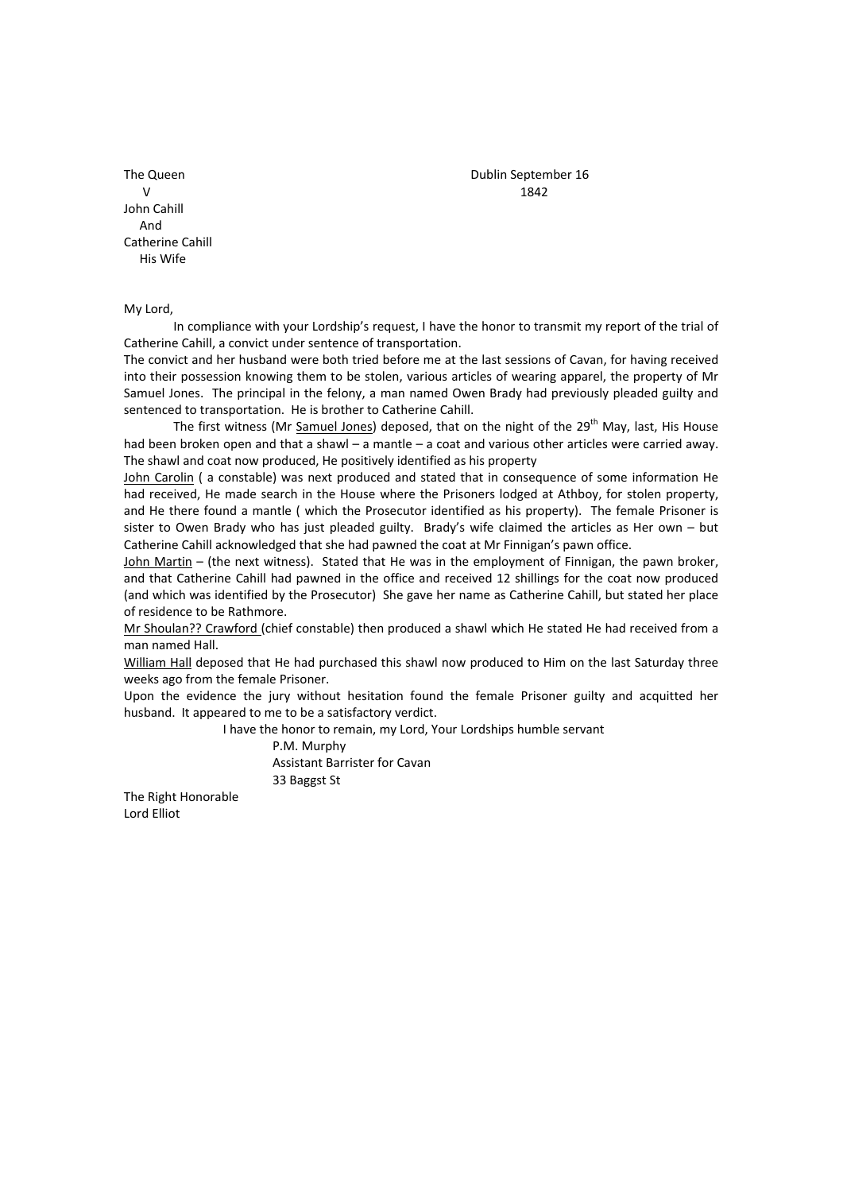$V$  and  $1842$ John Cahill And Catherine Cahill His Wife

My Lord,

In compliance with your Lordship's request, I have the honor to transmit my report of the trial of Catherine Cahill, a convict under sentence of transportation.

The convict and her husband were both tried before me at the last sessions of Cavan, for having received into their possession knowing them to be stolen, various articles of wearing apparel, the property of Mr Samuel Jones. The principal in the felony, a man named Owen Brady had previously pleaded guilty and sentenced to transportation. He is brother to Catherine Cahill.

The first witness (Mr Samuel Jones) deposed, that on the night of the 29<sup>th</sup> May, last, His House had been broken open and that a shawl – a mantle – a coat and various other articles were carried awav. The shawl and coat now produced, He positively identified as his property

John Carolin ( a constable) was next produced and stated that in consequence of some information He had received, He made search in the House where the Prisoners lodged at Athboy, for stolen property, and He there found a mantle ( which the Prosecutor identified as his property). The female Prisoner is sister to Owen Brady who has just pleaded guilty. Brady's wife claimed the articles as Her own – but Catherine Cahill acknowledged that she had pawned the coat at Mr Finnigan's pawn office.

John Martin – (the next witness). Stated that He was in the employment of Finnigan, the pawn broker, and that Catherine Cahill had pawned in the office and received 12 shillings for the coat now produced (and which was identified by the Prosecutor) She gave her name as Catherine Cahill, but stated her place of residence to be Rathmore.

Mr Shoulan?? Crawford (chief constable) then produced a shawl which He stated He had received from a man named Hall.

William Hall deposed that He had purchased this shawl now produced to Him on the last Saturday three weeks ago from the female Prisoner.

Upon the evidence the jury without hesitation found the female Prisoner guilty and acquitted her husband. It appeared to me to be a satisfactory verdict.

I have the honor to remain, my Lord, Your Lordships humble servant

 P.M. Murphy Assistant Barrister for Cavan 33 Baggst St

The Right Honorable Lord Elliot

The Queen Dublin September 16